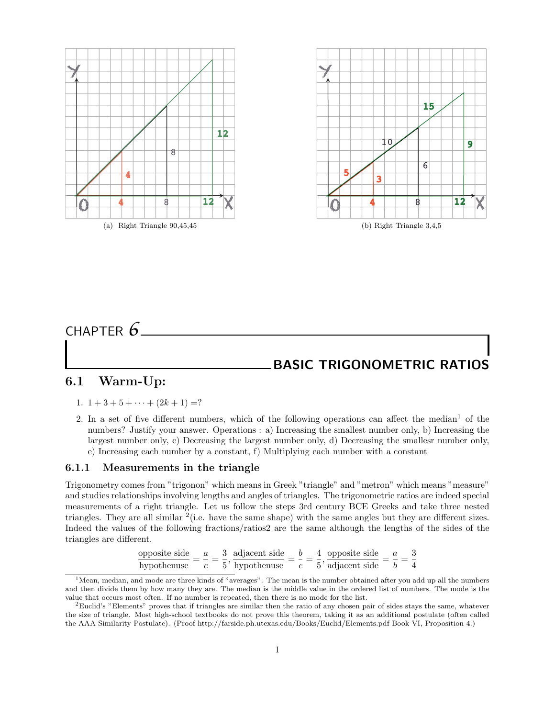

# CHAPTER *6* BASIC TRIGONOMETRIC RATIOS

## 6.1 Warm-Up:

- 1.  $1+3+5+\cdots+(2k+1)=?$
- 2. In a set of five different numbers, which of the following operations can affect the median<sup>1</sup> of the numbers? Justify your answer. Operations : a) Increasing the smallest number only, b) Increasing the largest number only, c) Decreasing the largest number only, d) Decreasing the smallesr number only, e) Increasing each number by a constant, f) Multiplying each number with a constant

### 6.1.1 Measurements in the triangle

Trigonometry comes from "trigonon" which means in Greek "triangle" and "metron" which means "measure" and studies relationships involving lengths and angles of triangles. The trigonometric ratios are indeed special measurements of a right triangle. Let us follow the steps 3rd century BCE Greeks and take three nested triangles. They are all similar  $2$  (i.e. have the same shape) with the same angles but they are different sizes. Indeed the values of the following fractions/ratios2 are the same although the lengths of the sides of the triangles are different.

| opposite side $a = 3$ adjacent side |  |  |  | 4 opposite side                          |  |                |
|-------------------------------------|--|--|--|------------------------------------------|--|----------------|
| hypothenuse                         |  |  |  | c 5' hypothenuse $c = 5$ ' adjacent side |  | $\overline{4}$ |

 $1$ Mean, median, and mode are three kinds of "averages". The mean is the number obtained after you add up all the numbers and then divide them by how many they are. The median is the middle value in the ordered list of numbers. The mode is the value that occurs most often. If no number is repeated, then there is no mode for the list.

 ${}^{2}$ Euclid's "Elements" proves that if triangles are similar then the ratio of any chosen pair of sides stays the same, whatever the size of triangle. Most high-school textbooks do not prove this theorem, taking it as an additional postulate (often called the AAA Similarity Postulate). (Proof http://farside.ph.utexas.edu/Books/Euclid/Elements.pdf Book VI, Proposition 4.)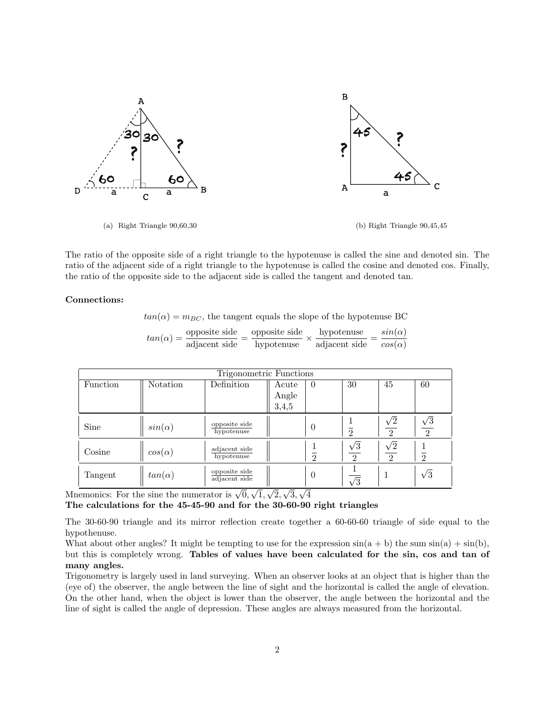

The ratio of the opposite side of a right triangle to the hypotenuse is called the sine and denoted sin. The ratio of the adjacent side of a right triangle to the hypotenuse is called the cosine and denoted cos. Finally, the ratio of the opposite side to the adjacent side is called the tangent and denoted tan.

### Connections:

 $tan(\alpha) = m_{BC}$ , the tangent equals the slope of the hypotenuse BC

| $tan(\alpha) =$ | opposite side | opposite side | hypotenuse    | $sin(\alpha)$ |
|-----------------|---------------|---------------|---------------|---------------|
|                 | adjacent side | hypotenuse    | adjacent side | $cos(\alpha)$ |

| Trigonometric Functions |               |                                |                         |                |                             |                              |                              |  |  |  |
|-------------------------|---------------|--------------------------------|-------------------------|----------------|-----------------------------|------------------------------|------------------------------|--|--|--|
| Function                | Notation      | Definition                     | Acute<br>Angle<br>3,4,5 | $\theta$       | 30                          | 45                           | 60                           |  |  |  |
| Sine                    | $sin(\alpha)$ | opposite side<br>hypotenuse    |                         | $\theta$       | റ                           | $\sqrt{2}$<br>$\mathfrak{D}$ | $\sqrt{3}$<br>$\overline{2}$ |  |  |  |
| Cosine                  | $cos(\alpha)$ | adjacent side<br>hypotenuse    |                         | $\mathfrak{D}$ | $\sqrt{3}$<br>$\mathcal{D}$ | $\sqrt{2}$<br>$\mathfrak{D}$ | $\overline{2}$               |  |  |  |
| Tangent                 | $tan(\alpha)$ | opposite side<br>adjacent side |                         | $\theta$       | $\sqrt{3}$                  |                              | $\sqrt{3}$                   |  |  |  |

Mnemonics: For the sine the numerator is  $\sqrt{0}$ , 1, 2, 3, 4

The calculations for the 45-45-90 and for the 30-60-90 right triangles

The 30-60-90 triangle and its mirror reflection create together a 60-60-60 triangle of side equal to the hypothenuse.

What about other angles? It might be tempting to use for the expression  $sin(a + b)$  the sum  $sin(a) + sin(b)$ , but this is completely wrong. Tables of values have been calculated for the sin, cos and tan of many angles.

Trigonometry is largely used in land surveying. When an observer looks at an object that is higher than the (eye of) the observer, the angle between the line of sight and the horizontal is called the angle of elevation. On the other hand, when the object is lower than the observer, the angle between the horizontal and the line of sight is called the angle of depression. These angles are always measured from the horizontal.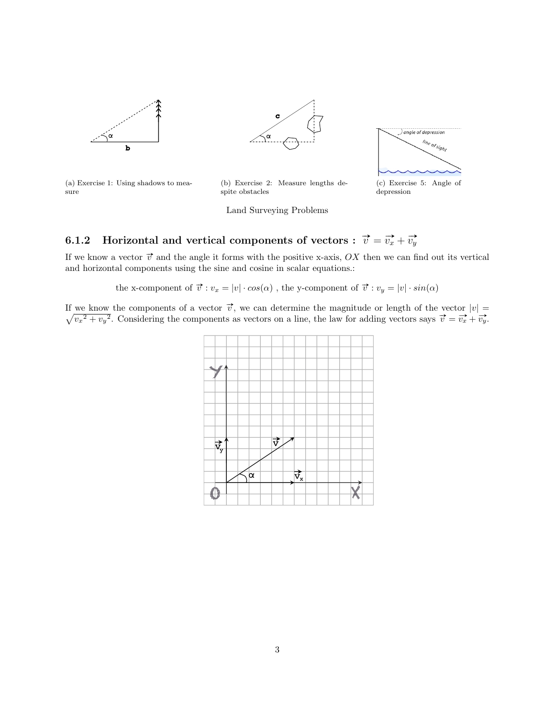



(a) Exercise 1: Using shadows to measure

(b) Exercise 2: Measure lengths despite obstacles



 $\bigcup$  angle of depression

Land Surveying Problems

depression

# 6.1.2 Horizontal and vertical components of vectors :  $\overrightarrow{v}=\overrightarrow{v_x}+\overrightarrow{v_y}$

If we know a vector  $\vec{v}$  and the angle it forms with the positive x-axis, OX then we can find out its vertical and horizontal components using the sine and cosine in scalar equations.:

the x-component of  $\overrightarrow{v}:v_x=|v|\cdot cos(\alpha)$  , the y-component of  $\overrightarrow{v}:v_y=|v|\cdot sin(\alpha)$ 

If we know the components of a vector  $\vec{v}$ , we can determine the magnitude or length of the vector  $|v| =$ we know the components of a vector  $v$ , we can determine the magnitude of length of the vector  $|v| = \sqrt{v_x^2 + v_y^2}$ . Considering the components as vectors on a line, the law for adding vectors says  $\vec{v} = \vec{v_x} + \vec{v_y}$ .

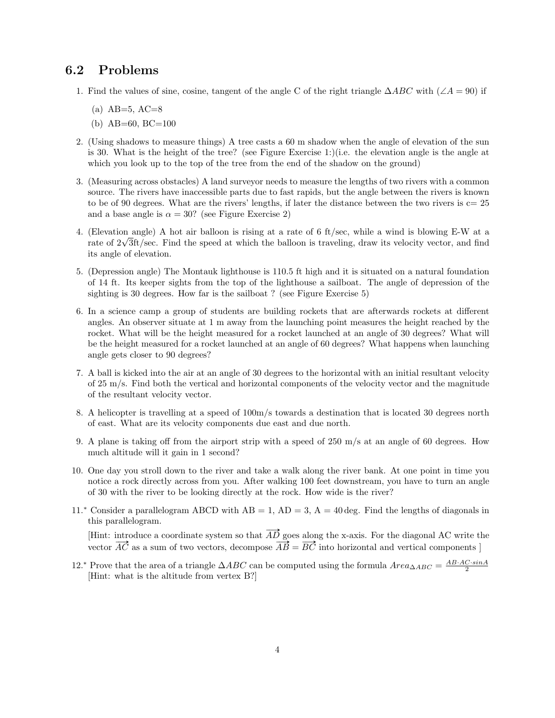### 6.2 Problems

- 1. Find the values of sine, cosine, tangent of the angle C of the right triangle  $\triangle ABC$  with  $(\angle A = 90)$  if
	- $(a)$  AB=5, AC=8
	- (b) AB=60, BC=100
- 2. (Using shadows to measure things) A tree casts a 60 m shadow when the angle of elevation of the sun is 30. What is the height of the tree? (see Figure Exercise 1:)(i.e. the elevation angle is the angle at which you look up to the top of the tree from the end of the shadow on the ground)
- 3. (Measuring across obstacles) A land surveyor needs to measure the lengths of two rivers with a common source. The rivers have inaccessible parts due to fast rapids, but the angle between the rivers is known to be of 90 degrees. What are the rivers' lengths, if later the distance between the two rivers is  $c=25$ and a base angle is  $\alpha = 30$ ? (see Figure Exercise 2)
- 4. (Elevation angle) A hot air balloon is rising at a rate of 6 ft/sec, while a wind is blowing E-W at a (Elevation angle) A not air balloon is rising at a rate of 6 tt/sec, while a wind is blowing E-W at a<br>rate of  $2\sqrt{3}$ ft/sec. Find the speed at which the balloon is traveling, draw its velocity vector, and find its angle of elevation.
- 5. (Depression angle) The Montauk lighthouse is 110.5 ft high and it is situated on a natural foundation of 14 ft. Its keeper sights from the top of the lighthouse a sailboat. The angle of depression of the sighting is 30 degrees. How far is the sailboat ? (see Figure Exercise 5)
- 6. In a science camp a group of students are building rockets that are afterwards rockets at different angles. An observer situate at 1 m away from the launching point measures the height reached by the rocket. What will be the height measured for a rocket launched at an angle of 30 degrees? What will be the height measured for a rocket launched at an angle of 60 degrees? What happens when launching angle gets closer to 90 degrees?
- 7. A ball is kicked into the air at an angle of 30 degrees to the horizontal with an initial resultant velocity of 25 m/s. Find both the vertical and horizontal components of the velocity vector and the magnitude of the resultant velocity vector.
- 8. A helicopter is travelling at a speed of 100m/s towards a destination that is located 30 degrees north of east. What are its velocity components due east and due north.
- 9. A plane is taking off from the airport strip with a speed of 250 m/s at an angle of 60 degrees. How much altitude will it gain in 1 second?
- 10. One day you stroll down to the river and take a walk along the river bank. At one point in time you notice a rock directly across from you. After walking 100 feet downstream, you have to turn an angle of 30 with the river to be looking directly at the rock. How wide is the river?
- 11.<sup>∗</sup> Consider a parallelogram ABCD with  $AB = 1$ ,  $AD = 3$ ,  $A = 40 \text{ deg}$ . Find the lengths of diagonals in this parallelogram.

[Hint: introduce a coordinate system so that  $\overrightarrow{AD}$  goes along the x-axis. For the diagonal AC write the France a coordinate system so that  $AD$  goes along the x-axis. For the diagonal AC write the vector  $\overrightarrow{AC}$  as a sum of two vectors, decompose  $\overrightarrow{AB} = \overrightarrow{BC}$  into horizontal and vertical components ]

12.<sup>∗</sup> Prove that the area of a triangle  $\triangle ABC$  can be computed using the formula  $Area_{\triangle ABC} = \frac{AB \cdot AC \cdot sinA}{2}$ [Hint: what is the altitude from vertex B?]